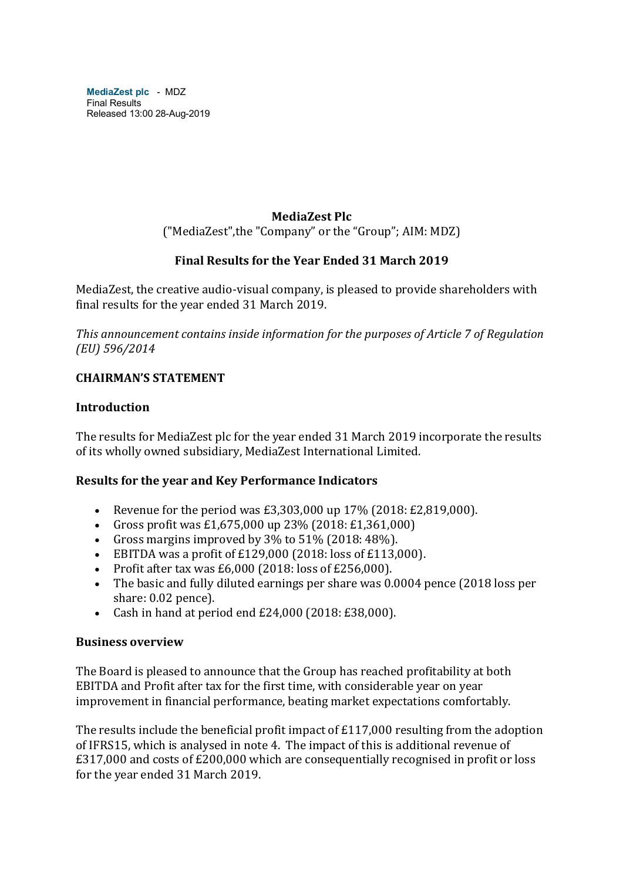**MediaZest plc** - MDZ Final Results Released 13:00 28-Aug-2019

#### **MediaZest Plc**

("MediaZest", the "Company" or the "Group"; AIM: MDZ)

#### **Final Results for the Year Ended 31 March 2019**

MediaZest, the creative audio-visual company, is pleased to provide shareholders with final results for the year ended 31 March 2019.

This announcement contains inside information for the purposes of Article 7 of Regulation *(EU) 596/2014*

### **CHAIRMAN'S STATEMENT**

#### **Introduction**

The results for MediaZest plc for the year ended 31 March 2019 incorporate the results of its wholly owned subsidiary, MediaZest International Limited.

#### **Results for the year and Key Performance Indicators**

- Revenue for the period was  $£3,303,000$  up  $17\%$  (2018:  $£2,819,000$ ).
- Gross profit was £1,675,000 up  $23\%$  (2018: £1,361,000)
- Gross margins improved by  $3\%$  to  $51\%$  (2018:  $48\%$ ).
- EBITDA was a profit of  $£129,000$  (2018: loss of  $£113,000$ ).
- Profit after tax was  $£6,000$  (2018: loss of  $£256,000$ ).
- The basic and fully diluted earnings per share was 0.0004 pence (2018 loss per share: 0.02 pence).
- Cash in hand at period end  $£24,000$  (2018:  $£38,000$ ).

#### **Business overview**

The Board is pleased to announce that the Group has reached profitability at both EBITDA and Profit after tax for the first time, with considerable year on year improvement in financial performance, beating market expectations comfortably.

The results include the beneficial profit impact of  $£117,000$  resulting from the adoption of IFRS15, which is analysed in note 4. The impact of this is additional revenue of  $£317,000$  and costs of  $£200,000$  which are consequentially recognised in profit or loss for the year ended 31 March 2019.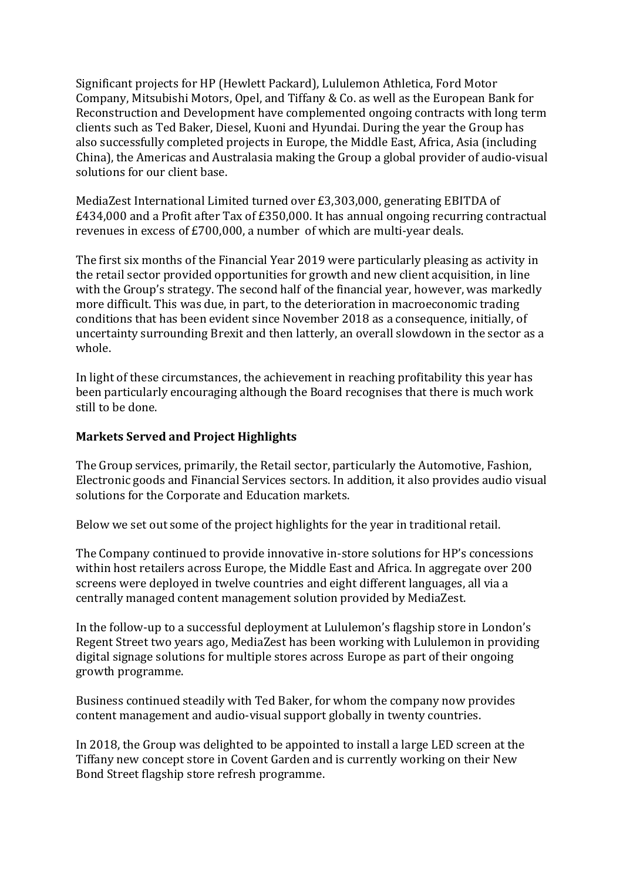Significant projects for HP (Hewlett Packard), Lululemon Athletica, Ford Motor Company, Mitsubishi Motors, Opel, and Tiffany & Co. as well as the European Bank for Reconstruction and Development have complemented ongoing contracts with long term clients such as Ted Baker, Diesel, Kuoni and Hyundai. During the year the Group has also successfully completed projects in Europe, the Middle East, Africa, Asia (including China), the Americas and Australasia making the Group a global provider of audio-visual solutions for our client base.

MediaZest International Limited turned over £3,303,000, generating EBITDA of  $£434,000$  and a Profit after Tax of  $£350,000$ . It has annual ongoing recurring contractual revenues in excess of  $£700,000$ , a number of which are multi-year deals.

The first six months of the Financial Year 2019 were particularly pleasing as activity in the retail sector provided opportunities for growth and new client acquisition, in line with the Group's strategy. The second half of the financial year, however, was markedly more difficult. This was due, in part, to the deterioration in macroeconomic trading conditions that has been evident since November 2018 as a consequence, initially, of uncertainty surrounding Brexit and then latterly, an overall slowdown in the sector as a whole.

In light of these circumstances, the achievement in reaching profitability this year has been particularly encouraging although the Board recognises that there is much work still to be done.

#### **Markets Served and Project Highlights**

The Group services, primarily, the Retail sector, particularly the Automotive, Fashion, Electronic goods and Financial Services sectors. In addition, it also provides audio visual solutions for the Corporate and Education markets.

Below we set out some of the project highlights for the year in traditional retail.

The Company continued to provide innovative in-store solutions for HP's concessions within host retailers across Europe, the Middle East and Africa. In aggregate over 200 screens were deployed in twelve countries and eight different languages, all via a centrally managed content management solution provided by MediaZest.

In the follow-up to a successful deployment at Lululemon's flagship store in London's Regent Street two years ago, MediaZest has been working with Lululemon in providing digital signage solutions for multiple stores across Europe as part of their ongoing growth programme.

Business continued steadily with Ted Baker, for whom the company now provides content management and audio-visual support globally in twenty countries.

In 2018, the Group was delighted to be appointed to install a large LED screen at the Tiffany new concept store in Covent Garden and is currently working on their New Bond Street flagship store refresh programme.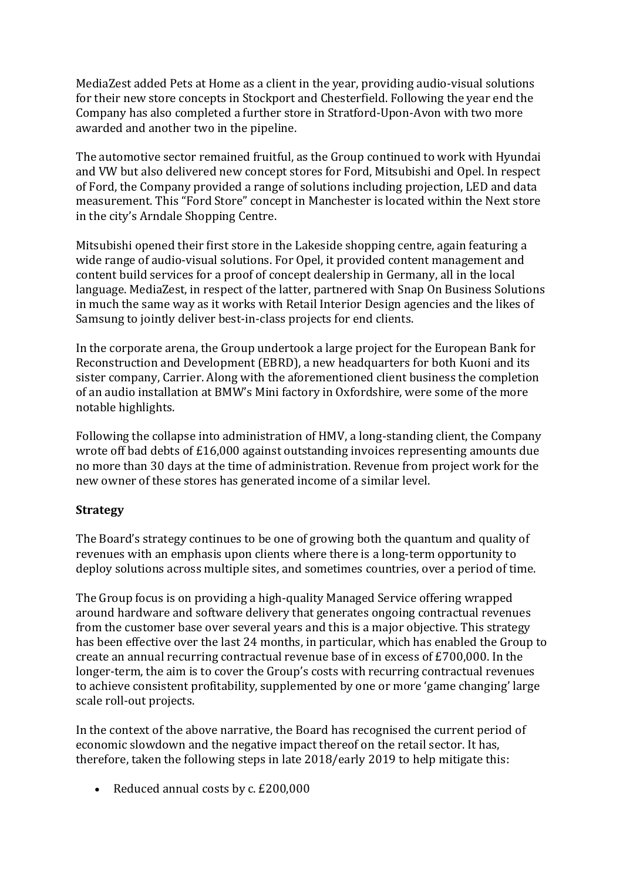MediaZest added Pets at Home as a client in the year, providing audio-visual solutions for their new store concepts in Stockport and Chesterfield. Following the year end the Company has also completed a further store in Stratford-Upon-Avon with two more awarded and another two in the pipeline.

The automotive sector remained fruitful, as the Group continued to work with Hyundai and VW but also delivered new concept stores for Ford, Mitsubishi and Opel. In respect of Ford, the Company provided a range of solutions including projection, LED and data measurement. This "Ford Store" concept in Manchester is located within the Next store in the city's Arndale Shopping Centre.

Mitsubishi opened their first store in the Lakeside shopping centre, again featuring a wide range of audio-visual solutions. For Opel, it provided content management and content build services for a proof of concept dealership in Germany, all in the local language. MediaZest, in respect of the latter, partnered with Snap On Business Solutions in much the same way as it works with Retail Interior Design agencies and the likes of Samsung to jointly deliver best-in-class projects for end clients.

In the corporate arena, the Group undertook a large project for the European Bank for Reconstruction and Development (EBRD), a new headquarters for both Kuoni and its sister company, Carrier. Along with the aforementioned client business the completion of an audio installation at BMW's Mini factory in Oxfordshire, were some of the more notable highlights.

Following the collapse into administration of HMV, a long-standing client, the Company wrote off bad debts of  $£16,000$  against outstanding invoices representing amounts due no more than 30 days at the time of administration. Revenue from project work for the new owner of these stores has generated income of a similar level.

#### **Strategy**

The Board's strategy continues to be one of growing both the quantum and quality of revenues with an emphasis upon clients where there is a long-term opportunity to deploy solutions across multiple sites, and sometimes countries, over a period of time.

The Group focus is on providing a high-quality Managed Service offering wrapped around hardware and software delivery that generates ongoing contractual revenues from the customer base over several years and this is a major objective. This strategy has been effective over the last 24 months, in particular, which has enabled the Group to create an annual recurring contractual revenue base of in excess of  $£700,000$ . In the longer-term, the aim is to cover the Group's costs with recurring contractual revenues to achieve consistent profitability, supplemented by one or more 'game changing' large scale roll-out projects.

In the context of the above narrative, the Board has recognised the current period of economic slowdown and the negative impact thereof on the retail sector. It has, therefore, taken the following steps in late  $2018$ /early  $2019$  to help mitigate this:

• Reduced annual costs by c. £200,000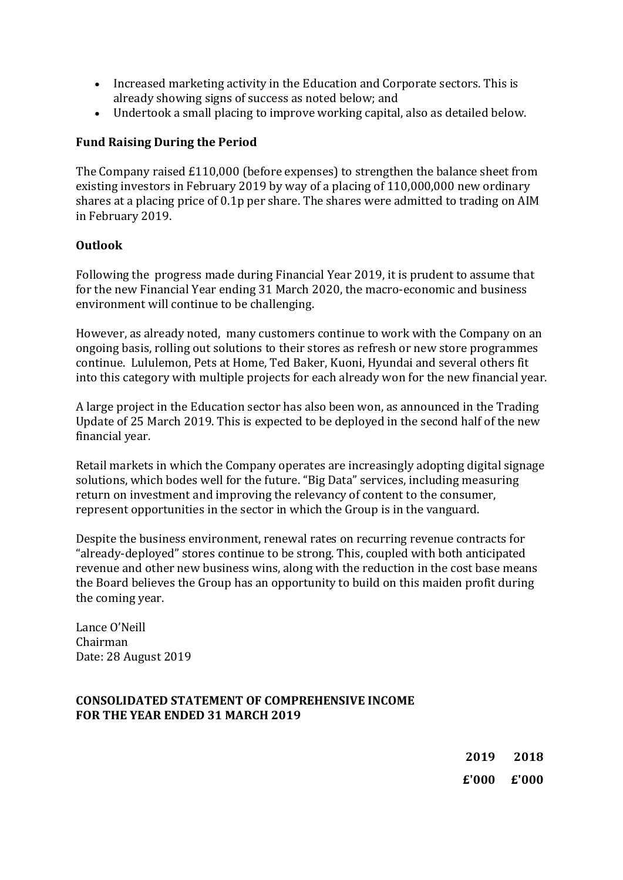- Increased marketing activity in the Education and Corporate sectors. This is already showing signs of success as noted below; and
- Undertook a small placing to improve working capital, also as detailed below.

### **Fund Raising During the Period**

The Company raised  $£110,000$  (before expenses) to strengthen the balance sheet from existing investors in February 2019 by way of a placing of  $110,000,000$  new ordinary shares at a placing price of 0.1p per share. The shares were admitted to trading on AIM in February 2019.

#### **Outlook**

Following the progress made during Financial Year 2019, it is prudent to assume that for the new Financial Year ending 31 March 2020, the macro-economic and business environment will continue to be challenging.

However, as already noted, many customers continue to work with the Company on an ongoing basis, rolling out solutions to their stores as refresh or new store programmes continue. Lululemon, Pets at Home, Ted Baker, Kuoni, Hyundai and several others fit into this category with multiple projects for each already won for the new financial year.

A large project in the Education sector has also been won, as announced in the Trading Update of 25 March 2019. This is expected to be deployed in the second half of the new financial year.

Retail markets in which the Company operates are increasingly adopting digital signage solutions, which bodes well for the future. "Big Data" services, including measuring return on investment and improving the relevancy of content to the consumer, represent opportunities in the sector in which the Group is in the vanguard.

Despite the business environment, renewal rates on recurring revenue contracts for "already-deployed" stores continue to be strong. This, coupled with both anticipated revenue and other new business wins, along with the reduction in the cost base means the Board believes the Group has an opportunity to build on this maiden profit during the coming year.

Lance O'Neill Chairman Date: 28 August 2019

#### **CONSOLIDATED STATEMENT OF COMPREHENSIVE INCOME FOR THE YEAR ENDED 31 MARCH 2019**

**2019 2018 £'000 £'000**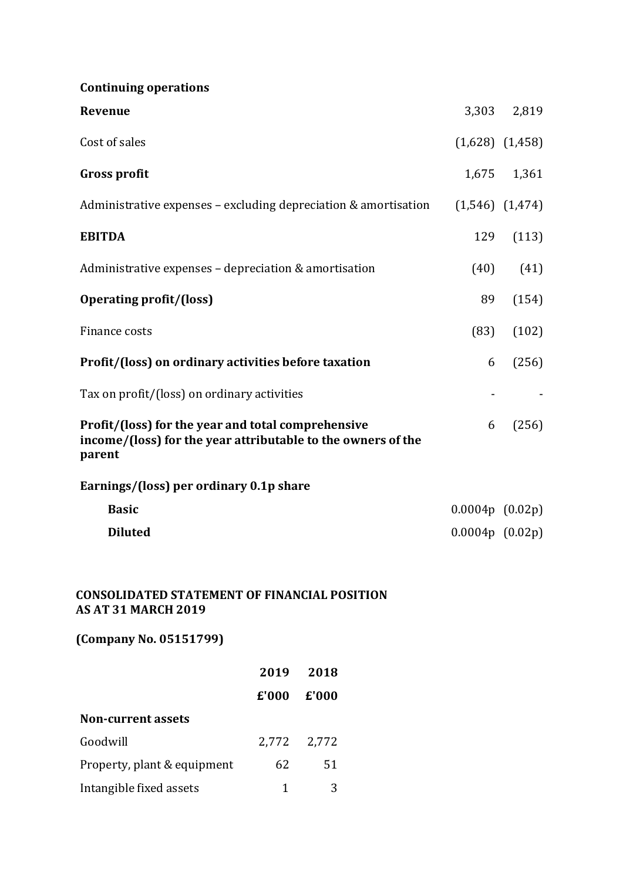# **Continuing operations**

| Revenue                                                                                                                      |                     | 3,303 2,819         |
|------------------------------------------------------------------------------------------------------------------------------|---------------------|---------------------|
| Cost of sales                                                                                                                |                     | $(1,628)$ $(1,458)$ |
| <b>Gross profit</b>                                                                                                          |                     | 1,675 1,361         |
| Administrative expenses - excluding depreciation & amortisation                                                              |                     | $(1,546)$ $(1,474)$ |
| <b>EBITDA</b>                                                                                                                | 129                 | (113)               |
| Administrative expenses - depreciation & amortisation                                                                        | (40)                | (41)                |
| <b>Operating profit/(loss)</b>                                                                                               | 89                  | (154)               |
| Finance costs                                                                                                                | (83)                | (102)               |
| Profit/(loss) on ordinary activities before taxation                                                                         | 6                   | (256)               |
| Tax on profit/(loss) on ordinary activities                                                                                  |                     |                     |
| Profit/(loss) for the year and total comprehensive<br>income/(loss) for the year attributable to the owners of the<br>parent | 6                   | (256)               |
| Earnings/(loss) per ordinary 0.1p share                                                                                      |                     |                     |
| <b>Basic</b>                                                                                                                 | $0.0004p$ $(0.02p)$ |                     |
| <b>Diluted</b>                                                                                                               | $0.0004p$ $(0.02p)$ |                     |
| <b>CONSOLIDATED STATEMENT OF FINANCIAL POSITION</b><br><b>AS AT 31 MARCH 2019</b>                                            |                     |                     |

**(Company No. 05151799)**

|                             | 2019                         | 2018                           |
|-----------------------------|------------------------------|--------------------------------|
|                             | $\boldsymbol{\epsilon}$ '000 | $\boldsymbol{\mathsf{E}}$ '000 |
| <b>Non-current assets</b>   |                              |                                |
| Goodwill                    |                              | 2,772 2,772                    |
| Property, plant & equipment | 62                           | 51                             |
| Intangible fixed assets     | 1                            |                                |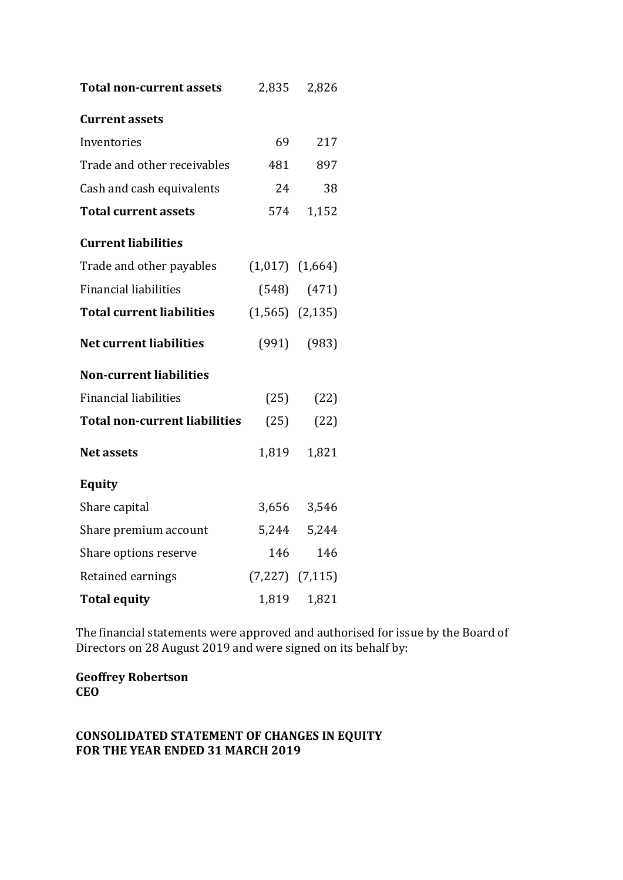| <b>Total non-current assets</b>      |                     | 2,835 2,826         |
|--------------------------------------|---------------------|---------------------|
| <b>Current assets</b>                |                     |                     |
| Inventories                          | 69                  | 217                 |
| Trade and other receivables          | 481                 | 897                 |
| Cash and cash equivalents            | 24                  | 38                  |
| <b>Total current assets</b>          | 574                 | 1,152               |
| <b>Current liabilities</b>           |                     |                     |
| Trade and other payables             | $(1,017)$ $(1,664)$ |                     |
| <b>Financial liabilities</b>         |                     | $(548)$ $(471)$     |
| <b>Total current liabilities</b>     | $(1,565)$ $(2,135)$ |                     |
| <b>Net current liabilities</b>       |                     | $(991)$ $(983)$     |
| <b>Non-current liabilities</b>       |                     |                     |
| <b>Financial liabilities</b>         |                     | $(25)$ $(22)$       |
| <b>Total non-current liabilities</b> | (25)                | (22)                |
| <b>Net assets</b>                    | 1,819               | 1,821               |
| <b>Equity</b>                        |                     |                     |
| Share capital                        |                     | 3,656 3,546         |
| Share premium account                | 5,244               | 5,244               |
| Share options reserve                | 146                 | 146                 |
| Retained earnings                    |                     | $(7,227)$ $(7,115)$ |
| <b>Total equity</b>                  | 1,819               | 1,821               |

The financial statements were approved and authorised for issue by the Board of Directors on 28 August 2019 and were signed on its behalf by:

**Geoffrey Robertson CEO**

# **CONSOLIDATED STATEMENT OF CHANGES IN EQUITY FOR THE YEAR ENDED 31 MARCH 2019**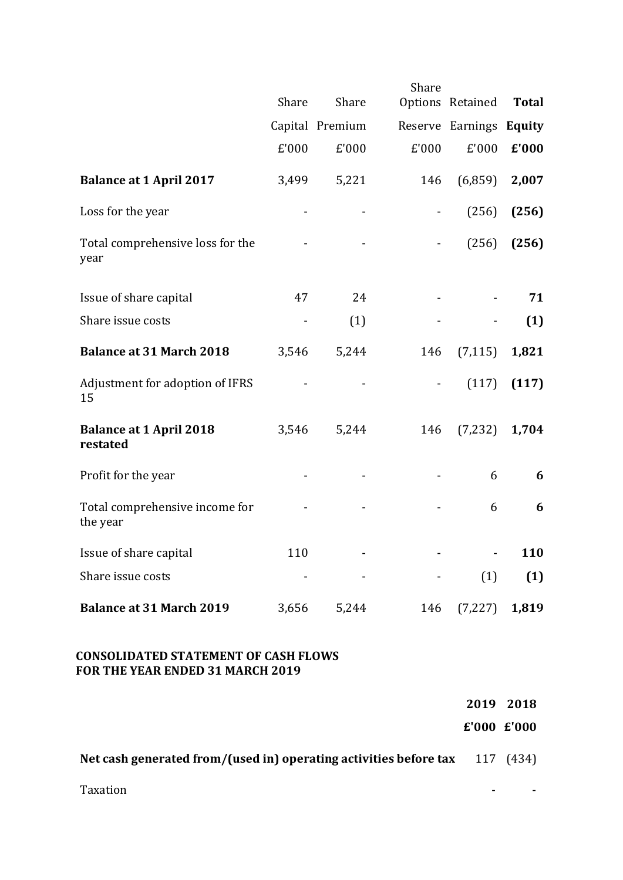|                                            | Share | Share           | Share          | Options Retained        | <b>Total</b> |
|--------------------------------------------|-------|-----------------|----------------|-------------------------|--------------|
|                                            |       | Capital Premium |                | Reserve Earnings Equity |              |
|                                            | £'000 | £'000           | £'000          | £'000                   | £'000        |
| <b>Balance at 1 April 2017</b>             | 3,499 | 5,221           | 146            | (6,859)                 | 2,007        |
| Loss for the year                          |       |                 | $\blacksquare$ | (256)                   | (256)        |
| Total comprehensive loss for the<br>year   |       |                 |                | (256)                   | (256)        |
| Issue of share capital                     | 47    | 24              |                |                         | 71           |
| Share issue costs                          |       | (1)             |                |                         | (1)          |
| <b>Balance at 31 March 2018</b>            | 3,546 | 5,244           | 146            | (7, 115)                | 1,821        |
| Adjustment for adoption of IFRS<br>15      |       |                 |                | (117)                   | (117)        |
| <b>Balance at 1 April 2018</b><br>restated | 3,546 | 5,244           | 146            | (7, 232)                | 1,704        |
| Profit for the year                        |       |                 |                | 6                       | 6            |
| Total comprehensive income for<br>the year |       |                 |                | 6                       | 6            |
| Issue of share capital                     | 110   |                 |                |                         | 110          |
| Share issue costs                          |       |                 |                | (1)                     | (1)          |
| <b>Balance at 31 March 2019</b>            | 3,656 | 5,244           | 146            | (7, 227)                | 1,819        |

### **CONSOLIDATED STATEMENT OF CASH FLOWS** FOR THE YEAR ENDED 31 MARCH 2019

|                                                                               | 2019 2018   |  |
|-------------------------------------------------------------------------------|-------------|--|
|                                                                               | E'000 E'000 |  |
| Net cash generated from/(used in) operating activities before tax $117$ (434) |             |  |

Taxation and the state of the state of the state of the state of the state of the state of the state of the state of the state of the state of the state of the state of the state of the state of the state of the state of t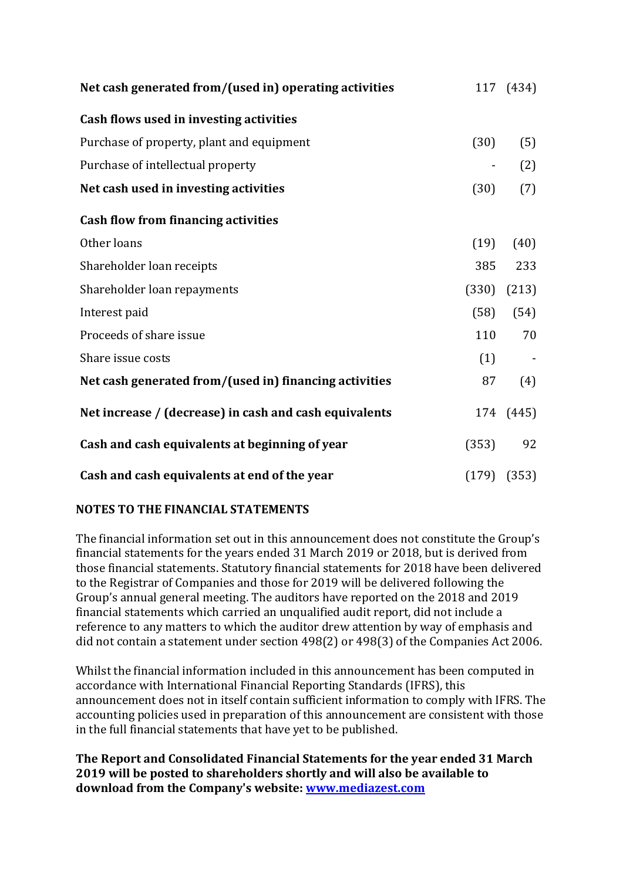| Net cash generated from/(used in) operating activities |      | 117 (434)       |
|--------------------------------------------------------|------|-----------------|
| Cash flows used in investing activities                |      |                 |
| Purchase of property, plant and equipment              | (30) | (5)             |
| Purchase of intellectual property                      |      | (2)             |
| Net cash used in investing activities                  | (30) | (7)             |
| <b>Cash flow from financing activities</b>             |      |                 |
| Other loans                                            | (19) | (40)            |
| Shareholder loan receipts                              | 385  | 233             |
| Shareholder loan repayments                            |      | $(330)$ $(213)$ |
| Interest paid                                          | (58) | (54)            |
| Proceeds of share issue                                | 110  | 70              |
| Share issue costs                                      |      | $(1)$ -         |
| Net cash generated from/(used in) financing activities | 87   | (4)             |
| Net increase / (decrease) in cash and cash equivalents |      | 174 (445)       |
| Cash and cash equivalents at beginning of year         |      | $(353)$ 92      |
| Cash and cash equivalents at end of the year           |      | $(179)$ $(353)$ |

# **NOTES TO THE FINANCIAL STATEMENTS**

The financial information set out in this announcement does not constitute the Group's financial statements for the years ended 31 March 2019 or 2018, but is derived from those financial statements. Statutory financial statements for 2018 have been delivered to the Registrar of Companies and those for 2019 will be delivered following the Group's annual general meeting. The auditors have reported on the 2018 and 2019 financial statements which carried an unqualified audit report, did not include a reference to any matters to which the auditor drew attention by way of emphasis and did not contain a statement under section 498(2) or 498(3) of the Companies Act 2006.

Whilst the financial information included in this announcement has been computed in accordance with International Financial Reporting Standards (IFRS), this announcement does not in itself contain sufficient information to comply with IFRS. The accounting policies used in preparation of this announcement are consistent with those in the full financial statements that have yet to be published.

The Report and Consolidated Financial Statements for the year ended 31 March **2019** will be posted to shareholders shortly and will also be available to **download from the Company's website: www.mediazest.com**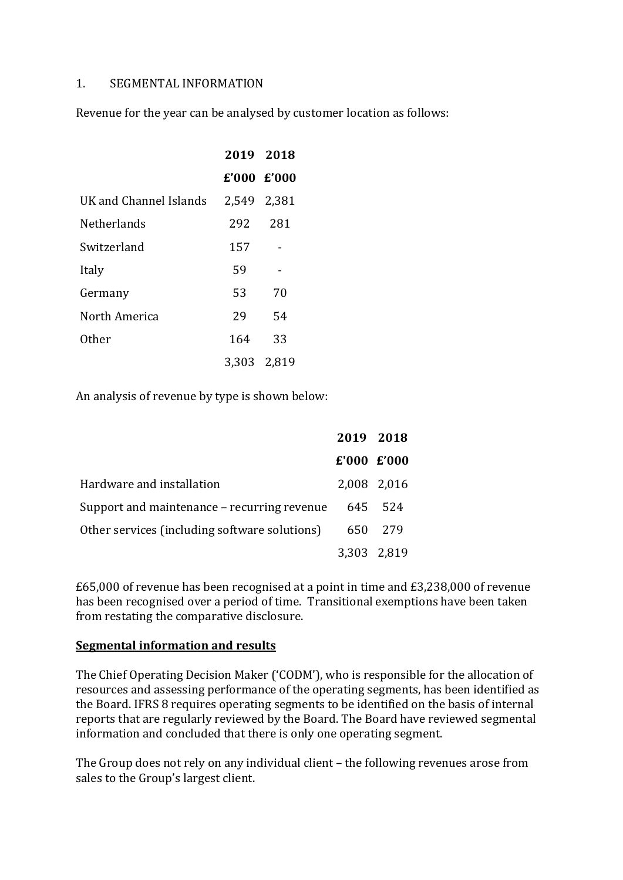#### 1. SEGMENTAL INFORMATION

Revenue for the year can be analysed by customer location as follows:

|                        | 2019 2018   |             |
|------------------------|-------------|-------------|
|                        |             | E'000 E'000 |
| UK and Channel Islands | 2,549 2,381 |             |
| Netherlands            | 292 281     |             |
| Switzerland            | 157         |             |
| Italy                  | 59          |             |
| Germany                | 53          | 70          |
| North America          | 29          | 54          |
| Other                  | 164         | 33          |
|                        |             | 3,303 2,819 |

An analysis of revenue by type is shown below:

|                                               | 2019 2018   |             |
|-----------------------------------------------|-------------|-------------|
|                                               | E'000 E'000 |             |
| Hardware and installation                     |             | 2,008 2,016 |
| Support and maintenance – recurring revenue   |             | 645 524     |
| Other services (including software solutions) | 650         | 279         |
|                                               |             | 3,303 2,819 |

 $£65,000$  of revenue has been recognised at a point in time and  $£3,238,000$  of revenue has been recognised over a period of time. Transitional exemptions have been taken from restating the comparative disclosure.

#### **Segmental information and results**

The Chief Operating Decision Maker ('CODM'), who is responsible for the allocation of resources and assessing performance of the operating segments, has been identified as the Board. IFRS 8 requires operating segments to be identified on the basis of internal reports that are regularly reviewed by the Board. The Board have reviewed segmental information and concluded that there is only one operating segment.

The Group does not rely on any individual client – the following revenues arose from sales to the Group's largest client.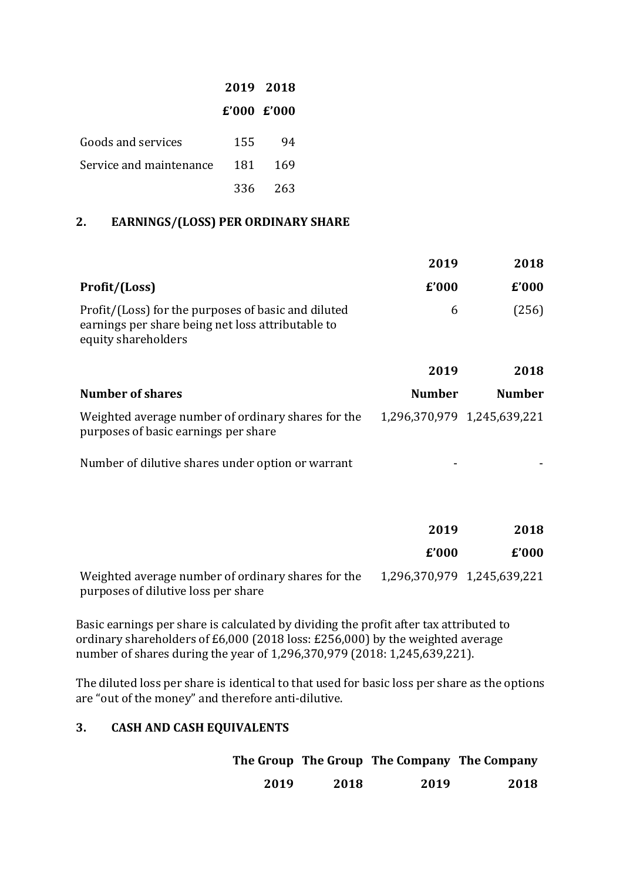|                         |             | 2019 2018 |
|-------------------------|-------------|-----------|
|                         | E'000 E'000 |           |
| Goods and services      | 155         | 94        |
| Service and maintenance | 181         | 169       |
|                         | 336 -       | -263      |

### **2. EARNINGS/(LOSS) PER ORDINARY SHARE**

|                                                                                                                                 | 2019          | 2018                        |
|---------------------------------------------------------------------------------------------------------------------------------|---------------|-----------------------------|
| Profit/(Loss)                                                                                                                   | £'000         | £'000                       |
| Profit/(Loss) for the purposes of basic and diluted<br>earnings per share being net loss attributable to<br>equity shareholders | 6             | (256)                       |
|                                                                                                                                 | 2019          | 2018                        |
| <b>Number of shares</b>                                                                                                         | <b>Number</b> | <b>Number</b>               |
| Weighted average number of ordinary shares for the<br>purposes of basic earnings per share                                      |               | 1,296,370,979 1,245,639,221 |
| Number of dilutive shares under option or warrant                                                                               |               |                             |
|                                                                                                                                 |               |                             |
|                                                                                                                                 | 2019          | 2018                        |
|                                                                                                                                 | £'000         | £'000                       |

Weighted average number of ordinary shares for the 1,296,370,979 1,245,639,221 purposes of dilutive loss per share

Basic earnings per share is calculated by dividing the profit after tax attributed to ordinary shareholders of £6,000 (2018 loss:  $£256,000$ ) by the weighted average number of shares during the year of 1,296,370,979 (2018: 1,245,639,221).

The diluted loss per share is identical to that used for basic loss per share as the options are "out of the money" and therefore anti-dilutive.

# **3. CASH AND CASH EQUIVALENTS**

|      |      | The Group The Group The Company The Company |      |
|------|------|---------------------------------------------|------|
| 2019 | 2018 | 2019                                        | 2018 |